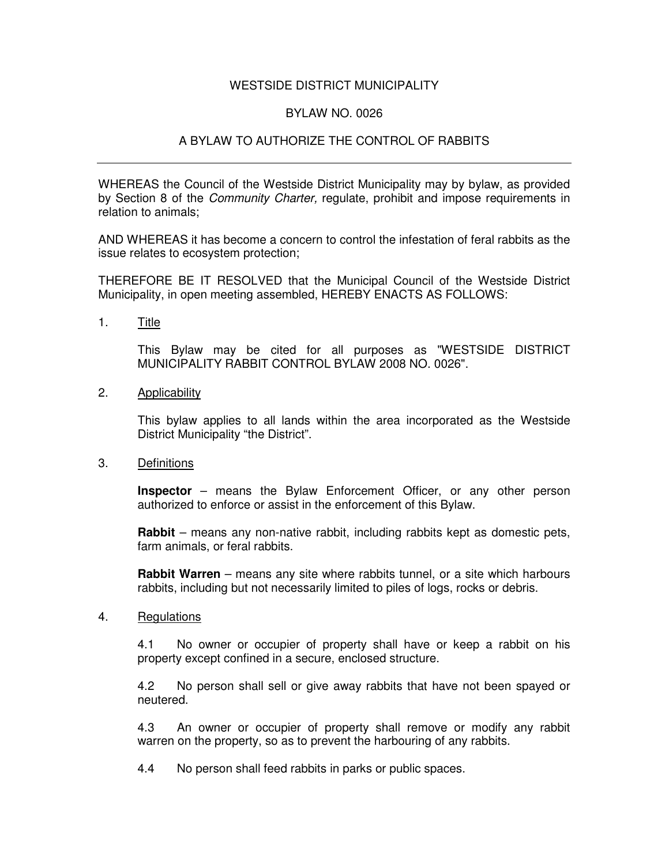## WESTSIDE DISTRICT MUNICIPALITY

## BYLAW NO. 0026

## A BYLAW TO AUTHORIZE THE CONTROL OF RABBITS

WHEREAS the Council of the Westside District Municipality may by bylaw, as provided by Section 8 of the *Community Charter,* regulate, prohibit and impose requirements in relation to animals;

AND WHEREAS it has become a concern to control the infestation of feral rabbits as the issue relates to ecosystem protection;

THEREFORE BE IT RESOLVED that the Municipal Council of the Westside District Municipality, in open meeting assembled, HEREBY ENACTS AS FOLLOWS:

1. Title

This Bylaw may be cited for all purposes as "WESTSIDE DISTRICT MUNICIPALITY RABBIT CONTROL BYLAW 2008 NO. 0026".

2. Applicability

This bylaw applies to all lands within the area incorporated as the Westside District Municipality "the District".

3. Definitions

**Inspector** – means the Bylaw Enforcement Officer, or any other person authorized to enforce or assist in the enforcement of this Bylaw.

**Rabbit** – means any non-native rabbit, including rabbits kept as domestic pets, farm animals, or feral rabbits.

**Rabbit Warren** – means any site where rabbits tunnel, or a site which harbours rabbits, including but not necessarily limited to piles of logs, rocks or debris.

4. Regulations

4.1 No owner or occupier of property shall have or keep a rabbit on his property except confined in a secure, enclosed structure.

4.2 No person shall sell or give away rabbits that have not been spayed or neutered.

4.3 An owner or occupier of property shall remove or modify any rabbit warren on the property, so as to prevent the harbouring of any rabbits.

4.4 No person shall feed rabbits in parks or public spaces.